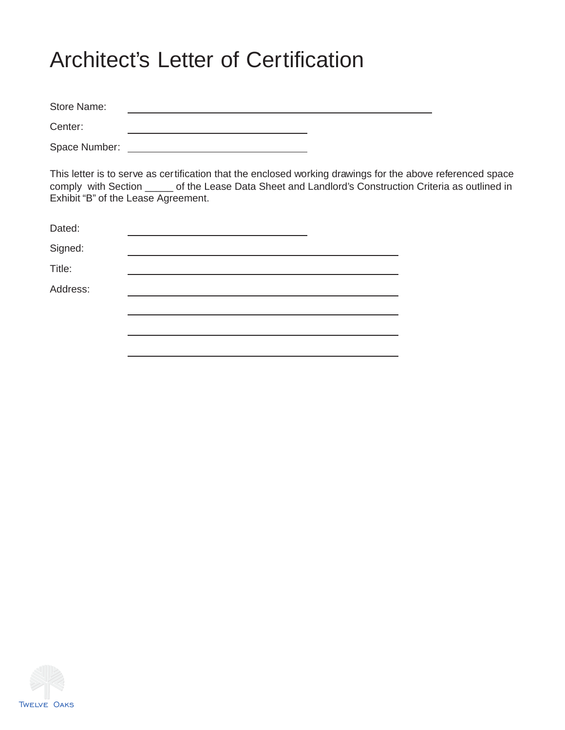# Architect's Letter of Certification

Store Name: <u> 1989 - Johann Barbara, martxa al III-lea (h. 1989).</u> Center: <u> 1989 - Johann Barn, mars ann an t-Amhain Aonaich an t-Aonaich an t-Aonaich ann an t-Aonaich ann an t-Aonaich</u>

Space Number:

This letter is to serve as certification that the enclosed working drawings for the above referenced space comply with Section \_\_\_\_\_ of the Lease Data Sheet and Landlord's Construction Criteria as outlined in Exhibit "B" of the Lease Agreement.

| Dated:   |  |
|----------|--|
| Signed:  |  |
| Title:   |  |
| Address: |  |
|          |  |
|          |  |
|          |  |

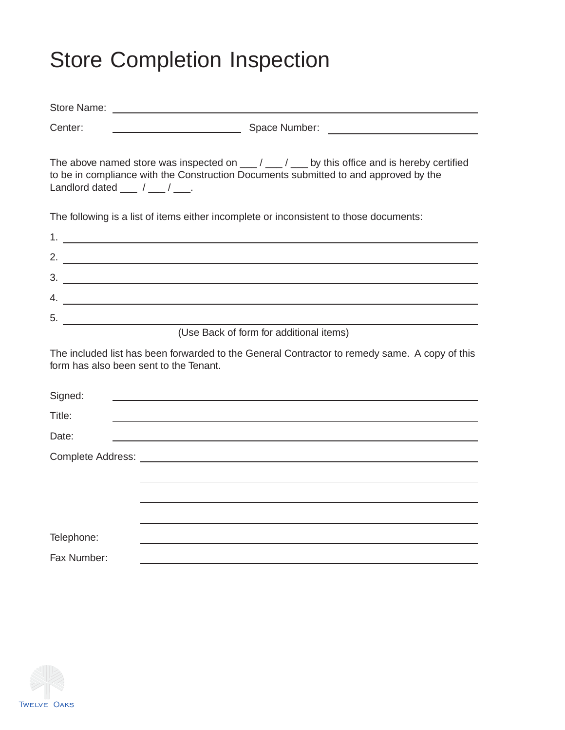# Store Completion Inspection

| Center:                                         |                                                                                                                                                                                                                                                                                                                                                                                                                  |
|-------------------------------------------------|------------------------------------------------------------------------------------------------------------------------------------------------------------------------------------------------------------------------------------------------------------------------------------------------------------------------------------------------------------------------------------------------------------------|
| Landlord dated $\frac{1}{\sqrt{1-\frac{1}{2}}}$ | The above named store was inspected on $\underline{\hspace{1cm}}$ / $\underline{\hspace{1cm}}$ / $\underline{\hspace{1cm}}$ by this office and is hereby certified<br>to be in compliance with the Construction Documents submitted to and approved by the                                                                                                                                                       |
|                                                 | The following is a list of items either incomplete or inconsistent to those documents:                                                                                                                                                                                                                                                                                                                           |
|                                                 |                                                                                                                                                                                                                                                                                                                                                                                                                  |
|                                                 | 2. $\frac{1}{2}$ $\frac{1}{2}$ $\frac{1}{2}$ $\frac{1}{2}$ $\frac{1}{2}$ $\frac{1}{2}$ $\frac{1}{2}$ $\frac{1}{2}$ $\frac{1}{2}$ $\frac{1}{2}$ $\frac{1}{2}$ $\frac{1}{2}$ $\frac{1}{2}$ $\frac{1}{2}$ $\frac{1}{2}$ $\frac{1}{2}$ $\frac{1}{2}$ $\frac{1}{2}$ $\frac{1}{2}$ $\frac{1}{2}$ $\frac{1}{2}$ $\frac{1}{2}$                                                                                           |
|                                                 |                                                                                                                                                                                                                                                                                                                                                                                                                  |
|                                                 | 4. $\frac{1}{\sqrt{1-\frac{1}{2}}\sqrt{1-\frac{1}{2}}\sqrt{1-\frac{1}{2}}\sqrt{1-\frac{1}{2}}\sqrt{1-\frac{1}{2}}\sqrt{1-\frac{1}{2}}\sqrt{1-\frac{1}{2}}\sqrt{1-\frac{1}{2}}\sqrt{1-\frac{1}{2}}\sqrt{1-\frac{1}{2}}\sqrt{1-\frac{1}{2}}\sqrt{1-\frac{1}{2}}\sqrt{1-\frac{1}{2}}\sqrt{1-\frac{1}{2}}\sqrt{1-\frac{1}{2}}\sqrt{1-\frac{1}{2}}\sqrt{1-\frac{1}{2}}\sqrt{1-\frac{1}{2}}\sqrt{1-\frac{1}{2}}\sqrt{$ |
| $5.$ $\qquad \qquad$                            |                                                                                                                                                                                                                                                                                                                                                                                                                  |
|                                                 | (Use Back of form for additional items)                                                                                                                                                                                                                                                                                                                                                                          |
|                                                 | The included list has been forwarded to the General Contractor to remedy same. A copy of this<br>form has also been sent to the Tenant.                                                                                                                                                                                                                                                                          |
| Signed:                                         |                                                                                                                                                                                                                                                                                                                                                                                                                  |
| Title:                                          |                                                                                                                                                                                                                                                                                                                                                                                                                  |
| Date:                                           |                                                                                                                                                                                                                                                                                                                                                                                                                  |
|                                                 |                                                                                                                                                                                                                                                                                                                                                                                                                  |
|                                                 |                                                                                                                                                                                                                                                                                                                                                                                                                  |
|                                                 |                                                                                                                                                                                                                                                                                                                                                                                                                  |
|                                                 |                                                                                                                                                                                                                                                                                                                                                                                                                  |
| Telephone:                                      |                                                                                                                                                                                                                                                                                                                                                                                                                  |
| Fax Number:                                     |                                                                                                                                                                                                                                                                                                                                                                                                                  |

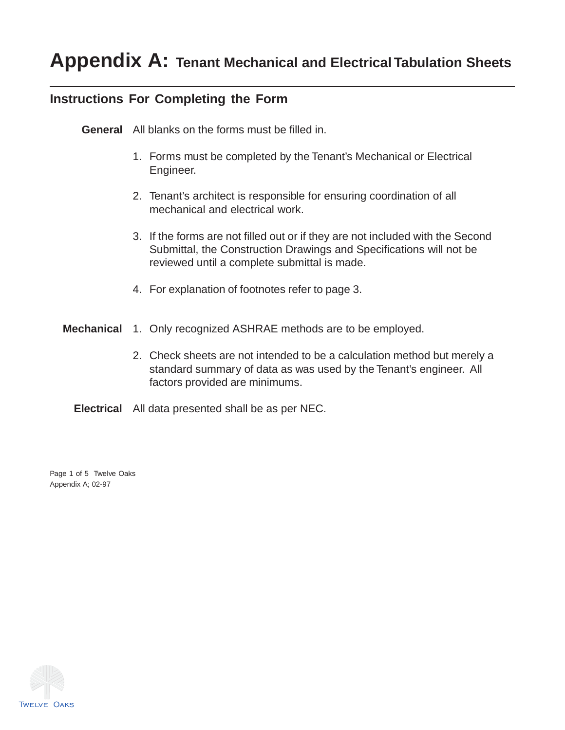# **Appendix A: Tenant Mechanical and Electrical Tabulation Sheets**

### **Instructions For Completing the Form**

**General** All blanks on the forms must be filled in.

- 1. Forms must be completed by the Tenant's Mechanical or Electrical Engineer.
- 2. Tenant's architect is responsible for ensuring coordination of all mechanical and electrical work.
- 3. If the forms are not filled out or if they are not included with the Second Submittal, the Construction Drawings and Specifications will not be reviewed until a complete submittal is made.
- 4. For explanation of footnotes refer to page 3.
- **Mechanical** 1. Only recognized ASHRAE methods are to be employed.
	- 2. Check sheets are not intended to be a calculation method but merely a standard summary of data as was used by the Tenant's engineer. All factors provided are minimums.
	- **Electrical** All data presented shall be as per NEC.

Page 1 of 5 Twelve Oaks Appendix A; 02-97

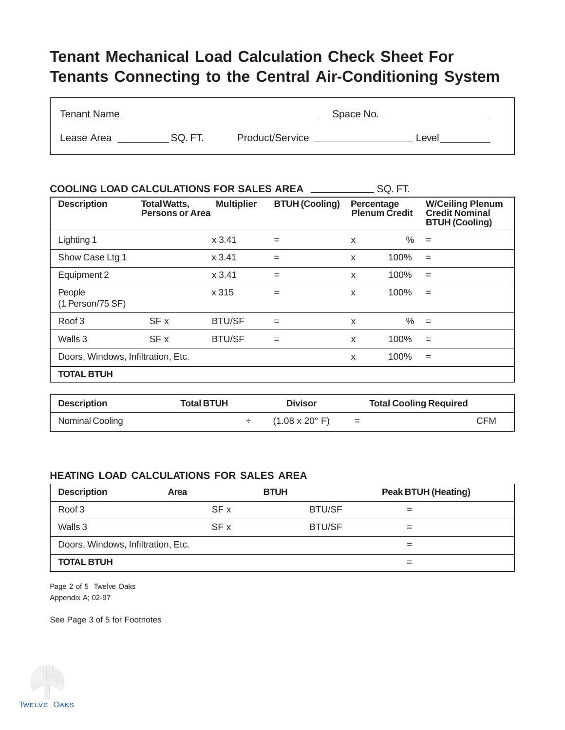## **Tenant Mechanical Load Calculation Check Sheet For Tenants Connecting to the Central Air-Conditioning System**

| Tenant Name |        |                 | Space No. |       |
|-------------|--------|-----------------|-----------|-------|
| Lease Area  | SQ.FT. | Product/Service |           | _evel |

| <b>COOLING LOAD CALCULATIONS FOR SALES AREA</b><br>SQ. FT. |                                               |                   |                       |   |                                    |                                                                           |
|------------------------------------------------------------|-----------------------------------------------|-------------------|-----------------------|---|------------------------------------|---------------------------------------------------------------------------|
| <b>Description</b>                                         | <b>Total Watts,</b><br><b>Persons or Area</b> | <b>Multiplier</b> | <b>BTUH (Cooling)</b> |   | Percentage<br><b>Plenum Credit</b> | <b>W/Ceiling Plenum</b><br><b>Credit Nominal</b><br><b>BTUH (Cooling)</b> |
| Lighting 1                                                 |                                               | x3.41             | $=$                   | X | $\%$                               | $=$                                                                       |
| Show Case Ltg 1                                            |                                               | x3.41             | $=$                   | X | 100%                               | $=$                                                                       |
| Equipment 2                                                |                                               | x3.41             | $=$                   | X | 100%                               | $=$                                                                       |
| People<br>(1 Person/75 SF)                                 |                                               | x 315             | $=$                   | X | 100%                               | $=$                                                                       |
| Roof 3                                                     | SF x                                          | <b>BTU/SF</b>     | $=$                   | X | $\%$                               | $=$                                                                       |
| Walls 3                                                    | SF x                                          | <b>BTU/SF</b>     | $=$                   | X | 100%                               | $=$                                                                       |
| Doors, Windows, Infiltration, Etc.                         |                                               |                   |                       | x | 100%                               | $=$                                                                       |
| <b>TOTAL BTUH</b>                                          |                                               |                   |                       |   |                                    |                                                                           |

| <b>Description</b> | <b>Total BTUH</b> | <b>Divisor</b>                       |     | <b>Total Cooling Required</b> |
|--------------------|-------------------|--------------------------------------|-----|-------------------------------|
| Nominal Cooling    |                   | $(1.08 \times 20^{\circ} \text{ F})$ | $=$ | CFM                           |

#### **HEATING LOAD CALCULATIONS FOR SALES AREA**

| <b>Description</b>                 | Area | <b>BTUH</b>   | <b>Peak BTUH (Heating)</b> |
|------------------------------------|------|---------------|----------------------------|
| Roof 3                             | SF x | <b>BTU/SF</b> | $=$                        |
| Walls 3                            | SF x | <b>BTU/SF</b> | $=$                        |
| Doors, Windows, Infiltration, Etc. |      |               | $=$                        |
| <b>TOTAL BTUH</b>                  |      |               | $=$                        |

Page 2 of 5 Twelve Oaks Appendix A; 02-97

See Page 3 of 5 for Footnotes

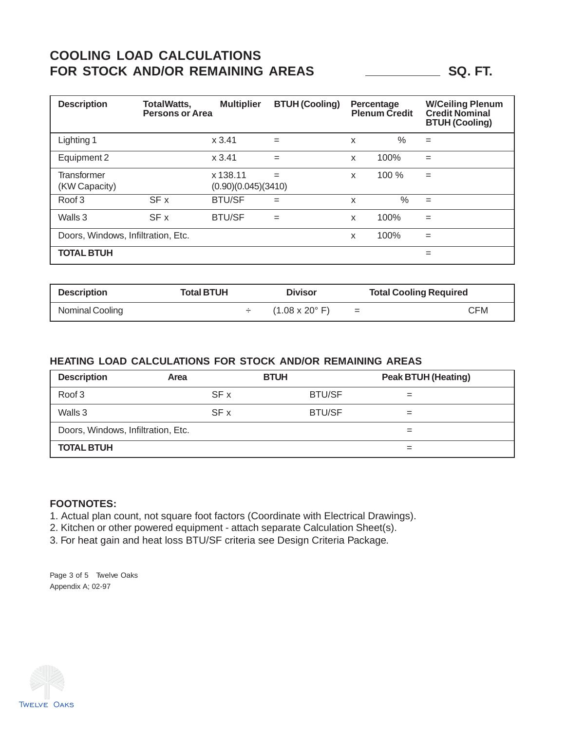## **COOLING LOAD CALCULATIONS** FOR STOCK AND/OR REMAINING AREAS SQ. FT.

| <b>Description</b>                 | <b>TotalWatts,</b><br><b>Persons or Area</b> | <b>Multiplier</b>               | <b>BTUH (Cooling)</b> |   | Percentage<br><b>Plenum Credit</b> | <b>W/Ceiling Plenum</b><br><b>Credit Nominal</b><br><b>BTUH (Cooling)</b> |
|------------------------------------|----------------------------------------------|---------------------------------|-----------------------|---|------------------------------------|---------------------------------------------------------------------------|
| Lighting 1                         |                                              | x3.41                           | $=$                   | X | $\%$                               | $=$                                                                       |
| Equipment 2                        |                                              | x3.41                           | $=$                   | X | 100%                               | $=$                                                                       |
| Transformer<br>(KW Capacity)       |                                              | x 138.11<br>(0.90)(0.045)(3410) | $=$                   | X | 100 %                              | $=$                                                                       |
| Roof 3                             | SF x                                         | <b>BTU/SF</b>                   | $=$                   | X | $\%$                               | $=$                                                                       |
| Walls 3                            | SF x                                         | <b>BTU/SF</b>                   | $=$                   | X | 100%                               | $=$                                                                       |
| Doors, Windows, Infiltration, Etc. |                                              |                                 |                       | X | 100%                               | $=$                                                                       |
| <b>TOTAL BTUH</b>                  |                                              |                                 |                       |   |                                    | $=$                                                                       |

| <b>Description</b> | Total BTUH | <b>Divisor</b>                       |     | <b>Total Cooling Required</b> |
|--------------------|------------|--------------------------------------|-----|-------------------------------|
| Nominal Cooling    |            | $(1.08 \times 20^{\circ} \text{ F})$ | $=$ | ∵FM                           |

#### **HEATING LOAD CALCULATIONS FOR STOCK AND/OR REMAINING AREAS**

| <b>Description</b>                 | Area | <b>BTUH</b>   | <b>Peak BTUH (Heating)</b> |
|------------------------------------|------|---------------|----------------------------|
| Roof 3                             | SF x | <b>BTU/SF</b> |                            |
| Walls 3                            | SF x | <b>BTU/SF</b> | $=$                        |
| Doors, Windows, Infiltration, Etc. |      |               |                            |
| <b>TOTAL BTUH</b>                  |      |               |                            |

#### **FOOTNOTES:**

1. Actual plan count, not square foot factors (Coordinate with Electrical Drawings).

2. Kitchen or other powered equipment - attach separate Calculation Sheet(s).

3. For heat gain and heat loss BTU/SF criteria see Design Criteria Package.

Page 3 of 5 Twelve Oaks Appendix A; 02-97

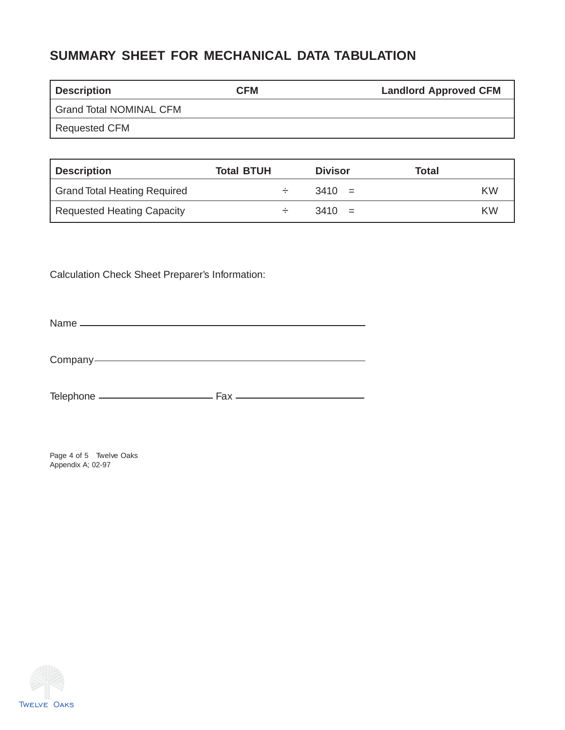## **SUMMARY SHEET FOR MECHANICAL DATA TABULATION**

| <b>Description</b>             | <b>CFM</b> | <b>Landlord Approved CFM</b> |
|--------------------------------|------------|------------------------------|
| <b>Grand Total NOMINAL CFM</b> |            |                              |
| Requested CFM                  |            |                              |

| Description                  | <b>Total BTUH</b> | <b>Divisor</b> | Total |
|------------------------------|-------------------|----------------|-------|
| Grand Total Heating Required |                   | $3410 =$       | KW.   |
| Requested Heating Capacity   |                   | $3410 =$       | KW.   |

Calculation Check Sheet Preparer's Information:

Name

Company-

Telephone Fax

Page 4 of 5 Twelve Oaks Appendix A; 02-97

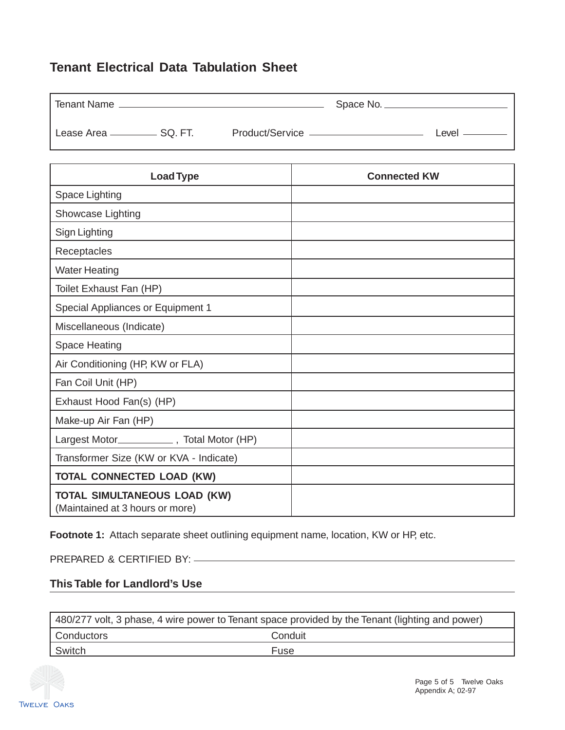### **Tenant Electrical Data Tabulation Sheet**

| <b>Tenant Name</b>               |  |         |
|----------------------------------|--|---------|
| Lease Area _____________ SQ. FT. |  | ∟evel - |

| <b>Load Type</b>                                                       | <b>Connected KW</b> |
|------------------------------------------------------------------------|---------------------|
| Space Lighting                                                         |                     |
| Showcase Lighting                                                      |                     |
| Sign Lighting                                                          |                     |
| Receptacles                                                            |                     |
| <b>Water Heating</b>                                                   |                     |
| Toilet Exhaust Fan (HP)                                                |                     |
| Special Appliances or Equipment 1                                      |                     |
| Miscellaneous (Indicate)                                               |                     |
| <b>Space Heating</b>                                                   |                     |
| Air Conditioning (HP, KW or FLA)                                       |                     |
| Fan Coil Unit (HP)                                                     |                     |
| Exhaust Hood Fan(s) (HP)                                               |                     |
| Make-up Air Fan (HP)                                                   |                     |
| Largest Motor______________, Total Motor (HP)                          |                     |
| Transformer Size (KW or KVA - Indicate)                                |                     |
| <b>TOTAL CONNECTED LOAD (KW)</b>                                       |                     |
| <b>TOTAL SIMULTANEOUS LOAD (KW)</b><br>(Maintained at 3 hours or more) |                     |

Footnote 1: Attach separate sheet outlining equipment name, location, KW or HP, etc.

PREPARED & CERTIFIED BY:

#### **This Table for Landlord's Use**

| 480/277 volt, 3 phase, 4 wire power to Tenant space provided by the Tenant (lighting and power) |         |  |
|-------------------------------------------------------------------------------------------------|---------|--|
| Conductors                                                                                      | Conduit |  |
| Switch                                                                                          | Fuse    |  |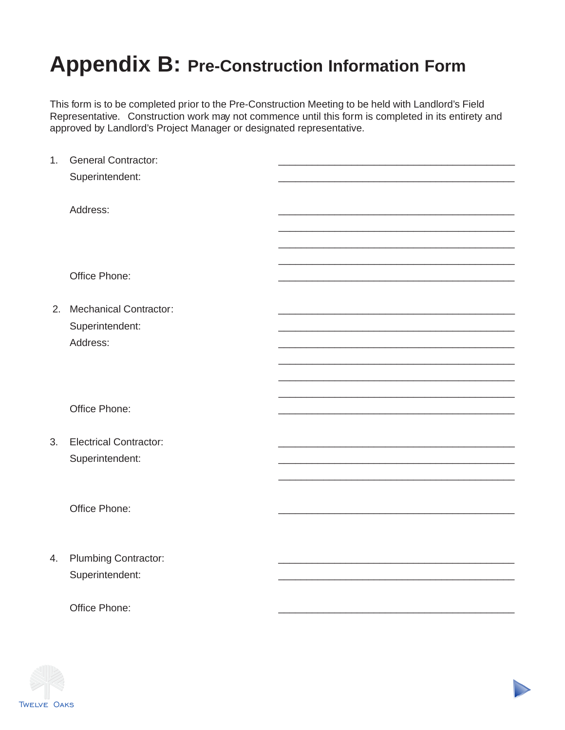# **Appendix B: Pre-Construction Information Form**

This form is to be completed prior to the Pre-Construction Meeting to be held with Landlord's Field Representative. Construction work may not commence until this form is completed in its entirety and approved by Landlord's Project Manager or designated representative.

| 1. | <b>General Contractor:</b>    |  |
|----|-------------------------------|--|
|    | Superintendent:               |  |
|    |                               |  |
|    |                               |  |
|    | Address:                      |  |
|    |                               |  |
|    |                               |  |
|    |                               |  |
|    |                               |  |
|    | Office Phone:                 |  |
|    |                               |  |
|    | 2. Mechanical Contractor:     |  |
|    | Superintendent:               |  |
|    | Address:                      |  |
|    |                               |  |
|    |                               |  |
|    |                               |  |
|    |                               |  |
|    | Office Phone:                 |  |
|    |                               |  |
|    |                               |  |
| 3. | <b>Electrical Contractor:</b> |  |
|    | Superintendent:               |  |
|    |                               |  |
|    |                               |  |
|    |                               |  |
|    | Office Phone:                 |  |
|    |                               |  |
|    |                               |  |
| 4. | <b>Plumbing Contractor:</b>   |  |
|    | Superintendent:               |  |
|    |                               |  |
|    |                               |  |
|    | Office Phone:                 |  |
|    |                               |  |